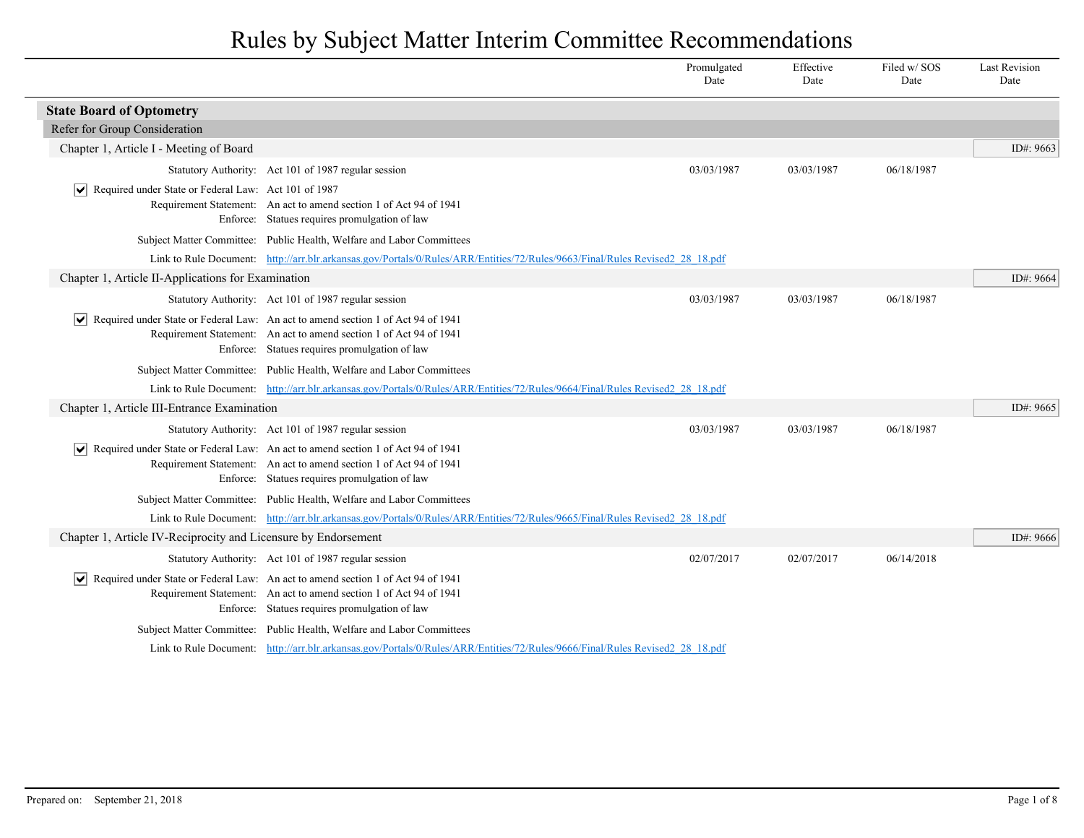|                                                                     |                                                                                                                                                                                                                              | Promulgated<br>Date | Effective<br>Date | Filed w/SOS<br>Date | <b>Last Revision</b><br>Date |
|---------------------------------------------------------------------|------------------------------------------------------------------------------------------------------------------------------------------------------------------------------------------------------------------------------|---------------------|-------------------|---------------------|------------------------------|
| <b>State Board of Optometry</b>                                     |                                                                                                                                                                                                                              |                     |                   |                     |                              |
| Refer for Group Consideration                                       |                                                                                                                                                                                                                              |                     |                   |                     |                              |
| Chapter 1, Article I - Meeting of Board                             |                                                                                                                                                                                                                              |                     |                   |                     | ID#: 9663                    |
|                                                                     | Statutory Authority: Act 101 of 1987 regular session                                                                                                                                                                         | 03/03/1987          | 03/03/1987        | 06/18/1987          |                              |
| $ \mathbf{v} $ Required under State or Federal Law: Act 101 of 1987 | Requirement Statement: An act to amend section 1 of Act 94 of 1941<br>Enforce: Statues requires promulgation of law                                                                                                          |                     |                   |                     |                              |
|                                                                     | Subject Matter Committee: Public Health, Welfare and Labor Committees                                                                                                                                                        |                     |                   |                     |                              |
|                                                                     | Link to Rule Document: http://arr.blr.arkansas.gov/Portals/0/Rules/ARR/Entities/72/Rules/9663/Final/Rules Revised2 28 18.pdf                                                                                                 |                     |                   |                     |                              |
| Chapter 1, Article II-Applications for Examination                  |                                                                                                                                                                                                                              |                     |                   |                     | ID#: 9664                    |
|                                                                     | Statutory Authority: Act 101 of 1987 regular session                                                                                                                                                                         | 03/03/1987          | 03/03/1987        | 06/18/1987          |                              |
|                                                                     | Required under State or Federal Law: An act to amend section 1 of Act 94 of 1941<br>Requirement Statement: An act to amend section 1 of Act 94 of 1941<br>Enforce: Statues requires promulgation of law                      |                     |                   |                     |                              |
|                                                                     | Subject Matter Committee: Public Health, Welfare and Labor Committees                                                                                                                                                        |                     |                   |                     |                              |
|                                                                     | Link to Rule Document: http://arr.blr.arkansas.gov/Portals/0/Rules/ARR/Entities/72/Rules/9664/Final/Rules Revised2 28 18.pdf                                                                                                 |                     |                   |                     |                              |
| Chapter 1, Article III-Entrance Examination                         |                                                                                                                                                                                                                              |                     |                   |                     | ID#: 9665                    |
|                                                                     | Statutory Authority: Act 101 of 1987 regular session                                                                                                                                                                         | 03/03/1987          | 03/03/1987        | 06/18/1987          |                              |
|                                                                     | $\sqrt{\phantom{a}}$ Required under State or Federal Law: An act to amend section 1 of Act 94 of 1941<br>Requirement Statement: An act to amend section 1 of Act 94 of 1941<br>Enforce: Statues requires promulgation of law |                     |                   |                     |                              |
|                                                                     | Subject Matter Committee: Public Health, Welfare and Labor Committees                                                                                                                                                        |                     |                   |                     |                              |
|                                                                     | Link to Rule Document: http://arr.blr.arkansas.gov/Portals/0/Rules/ARR/Entities/72/Rules/9665/Final/Rules Revised2 28 18.pdf                                                                                                 |                     |                   |                     |                              |
| Chapter 1, Article IV-Reciprocity and Licensure by Endorsement      |                                                                                                                                                                                                                              |                     |                   |                     | ID#: 9666                    |
|                                                                     | Statutory Authority: Act 101 of 1987 regular session                                                                                                                                                                         | 02/07/2017          | 02/07/2017        | 06/14/2018          |                              |
|                                                                     | Required under State or Federal Law: An act to amend section 1 of Act 94 of 1941<br>Requirement Statement: An act to amend section 1 of Act 94 of 1941<br>Enforce: Statues requires promulgation of law                      |                     |                   |                     |                              |
|                                                                     | Subject Matter Committee: Public Health, Welfare and Labor Committees                                                                                                                                                        |                     |                   |                     |                              |
|                                                                     | Link to Rule Document: http://arr.blr.arkansas.gov/Portals/0/Rules/ARR/Entities/72/Rules/9666/Final/Rules Revised2 28 18.pdf                                                                                                 |                     |                   |                     |                              |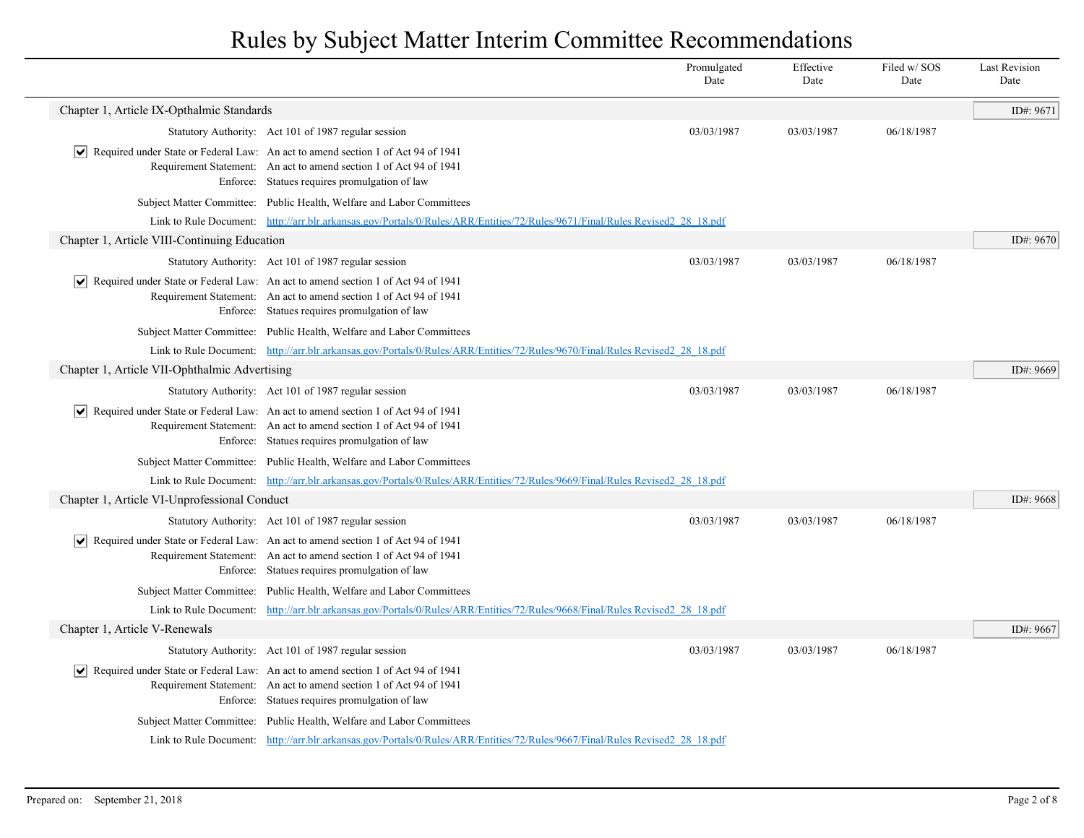|                                               |                                                                                                                                                                                                                               | Promulgated<br>Date | Effective<br>Date | Filed w/SOS<br>Date | <b>Last Revision</b><br>Date |
|-----------------------------------------------|-------------------------------------------------------------------------------------------------------------------------------------------------------------------------------------------------------------------------------|---------------------|-------------------|---------------------|------------------------------|
| Chapter 1, Article IX-Opthalmic Standards     |                                                                                                                                                                                                                               |                     |                   |                     | ID#: 9671                    |
|                                               | Statutory Authority: Act 101 of 1987 regular session                                                                                                                                                                          | 03/03/1987          | 03/03/1987        | 06/18/1987          |                              |
| $ \bm{\mathsf{v}} $                           | Required under State or Federal Law: An act to amend section 1 of Act 94 of 1941<br>Requirement Statement: An act to amend section 1 of Act 94 of 1941<br>Enforce: Statues requires promulgation of law                       |                     |                   |                     |                              |
|                                               | Subject Matter Committee: Public Health, Welfare and Labor Committees                                                                                                                                                         |                     |                   |                     |                              |
|                                               | Link to Rule Document: http://arr.blr.arkansas.gov/Portals/0/Rules/ARR/Entities/72/Rules/9671/Final/Rules Revised2 28 18.pdf                                                                                                  |                     |                   |                     |                              |
| Chapter 1, Article VIII-Continuing Education  |                                                                                                                                                                                                                               |                     |                   |                     | ID#: 9670                    |
|                                               | Statutory Authority: Act 101 of 1987 regular session                                                                                                                                                                          | 03/03/1987          | 03/03/1987        | 06/18/1987          |                              |
|                                               | $ \mathbf{v} $ Required under State or Federal Law: An act to amend section 1 of Act 94 of 1941<br>Requirement Statement: An act to amend section 1 of Act 94 of 1941<br>Enforce: Statues requires promulgation of law        |                     |                   |                     |                              |
|                                               | Subject Matter Committee: Public Health, Welfare and Labor Committees                                                                                                                                                         |                     |                   |                     |                              |
|                                               | Link to Rule Document: http://arr.blr.arkansas.gov/Portals/0/Rules/ARR/Entities/72/Rules/9670/Final/Rules Revised2 28 18.pdf                                                                                                  |                     |                   |                     |                              |
| Chapter 1, Article VII-Ophthalmic Advertising |                                                                                                                                                                                                                               |                     |                   |                     | ID#: 9669                    |
|                                               | Statutory Authority: Act 101 of 1987 regular session                                                                                                                                                                          | 03/03/1987          | 03/03/1987        | 06/18/1987          |                              |
|                                               | $ \mathbf{v} $ Required under State or Federal Law: An act to amend section 1 of Act 94 of 1941<br>Requirement Statement: An act to amend section 1 of Act 94 of 1941<br>Enforce: Statues requires promulgation of law        |                     |                   |                     |                              |
|                                               | Subject Matter Committee: Public Health, Welfare and Labor Committees                                                                                                                                                         |                     |                   |                     |                              |
|                                               | Link to Rule Document: http://arr.blr.arkansas.gov/Portals/0/Rules/ARR/Entities/72/Rules/9669/Final/Rules Revised2 28 18.pdf                                                                                                  |                     |                   |                     |                              |
| Chapter 1, Article VI-Unprofessional Conduct  |                                                                                                                                                                                                                               |                     |                   |                     | ID#: 9668                    |
|                                               | Statutory Authority: Act 101 of 1987 regular session                                                                                                                                                                          | 03/03/1987          | 03/03/1987        | 06/18/1987          |                              |
|                                               | $ \mathbf{v} $ Required under State or Federal Law: An act to amend section 1 of Act 94 of 1941<br>Requirement Statement: An act to amend section 1 of Act 94 of 1941<br>Enforce: Statues requires promulgation of law        |                     |                   |                     |                              |
|                                               | Subject Matter Committee: Public Health, Welfare and Labor Committees                                                                                                                                                         |                     |                   |                     |                              |
|                                               | Link to Rule Document: http://arr.blr.arkansas.gov/Portals/0/Rules/ARR/Entities/72/Rules/9668/Final/Rules Revised2 28 18.pdf                                                                                                  |                     |                   |                     |                              |
| Chapter 1, Article V-Renewals                 |                                                                                                                                                                                                                               |                     |                   |                     | ID#: 9667                    |
|                                               | Statutory Authority: Act 101 of 1987 regular session                                                                                                                                                                          | 03/03/1987          | 03/03/1987        | 06/18/1987          |                              |
|                                               | $\vert \bullet \vert$ Required under State or Federal Law: An act to amend section 1 of Act 94 of 1941<br>Requirement Statement: An act to amend section 1 of Act 94 of 1941<br>Enforce: Statues requires promulgation of law |                     |                   |                     |                              |
|                                               | Subject Matter Committee: Public Health, Welfare and Labor Committees                                                                                                                                                         |                     |                   |                     |                              |
|                                               | Link to Rule Document: http://arr.blr.arkansas.gov/Portals/0/Rules/ARR/Entities/72/Rules/9667/Final/Rules Revised2 28 18.pdf                                                                                                  |                     |                   |                     |                              |
|                                               |                                                                                                                                                                                                                               |                     |                   |                     |                              |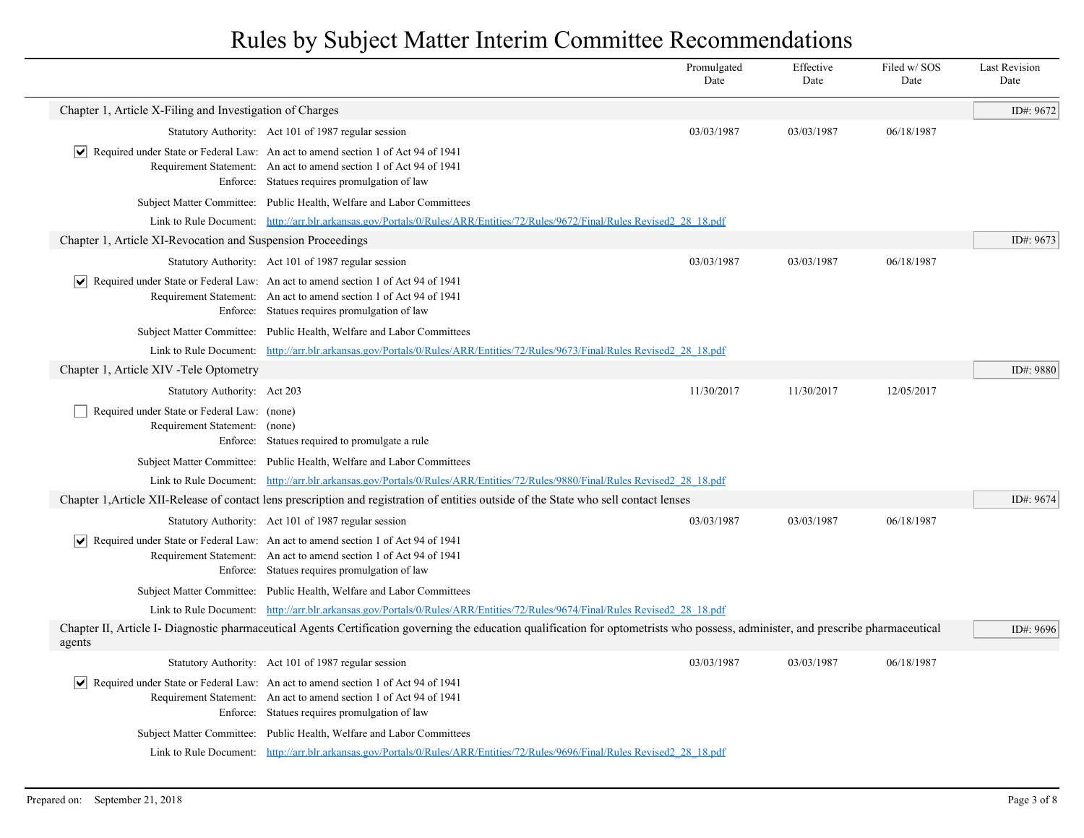|                                                                              |                                                                                                                                                                                                                               | Promulgated<br>Date | Effective<br>Date | Filed w/SOS<br>Date | <b>Last Revision</b><br>Date |
|------------------------------------------------------------------------------|-------------------------------------------------------------------------------------------------------------------------------------------------------------------------------------------------------------------------------|---------------------|-------------------|---------------------|------------------------------|
| Chapter 1, Article X-Filing and Investigation of Charges                     |                                                                                                                                                                                                                               |                     |                   |                     | ID#: 9672                    |
|                                                                              | Statutory Authority: Act 101 of 1987 regular session                                                                                                                                                                          | 03/03/1987          | 03/03/1987        | 06/18/1987          |                              |
|                                                                              | $\vert \bullet \vert$ Required under State or Federal Law: An act to amend section 1 of Act 94 of 1941<br>Requirement Statement: An act to amend section 1 of Act 94 of 1941<br>Enforce: Statues requires promulgation of law |                     |                   |                     |                              |
|                                                                              | Subject Matter Committee: Public Health, Welfare and Labor Committees                                                                                                                                                         |                     |                   |                     |                              |
|                                                                              | Link to Rule Document: http://arr.blr.arkansas.gov/Portals/0/Rules/ARR/Entities/72/Rules/9672/Final/Rules Revised2 28 18.pdf                                                                                                  |                     |                   |                     |                              |
| Chapter 1, Article XI-Revocation and Suspension Proceedings                  |                                                                                                                                                                                                                               |                     |                   |                     | ID#: 9673                    |
|                                                                              | Statutory Authority: Act 101 of 1987 regular session                                                                                                                                                                          | 03/03/1987          | 03/03/1987        | 06/18/1987          |                              |
|                                                                              | $ \mathbf{v} $ Required under State or Federal Law: An act to amend section 1 of Act 94 of 1941<br>Requirement Statement: An act to amend section 1 of Act 94 of 1941<br>Enforce: Statues requires promulgation of law        |                     |                   |                     |                              |
|                                                                              | Subject Matter Committee: Public Health, Welfare and Labor Committees                                                                                                                                                         |                     |                   |                     |                              |
|                                                                              | Link to Rule Document: http://arr.blr.arkansas.gov/Portals/0/Rules/ARR/Entities/72/Rules/9673/Final/Rules Revised2 28 18.pdf                                                                                                  |                     |                   |                     |                              |
| Chapter 1, Article XIV - Tele Optometry                                      |                                                                                                                                                                                                                               |                     |                   |                     | ID#: 9880                    |
| Statutory Authority: Act 203                                                 |                                                                                                                                                                                                                               | 11/30/2017          | 11/30/2017        | 12/05/2017          |                              |
| Required under State or Federal Law: (none)<br>Requirement Statement: (none) | Enforce: Statues required to promulgate a rule                                                                                                                                                                                |                     |                   |                     |                              |
|                                                                              | Subject Matter Committee: Public Health, Welfare and Labor Committees                                                                                                                                                         |                     |                   |                     |                              |
|                                                                              | Link to Rule Document: http://arr.blr.arkansas.gov/Portals/0/Rules/ARR/Entities/72/Rules/9880/Final/Rules Revised2 28 18.pdf                                                                                                  |                     |                   |                     |                              |
|                                                                              | Chapter 1, Article XII-Release of contact lens prescription and registration of entities outside of the State who sell contact lenses                                                                                         |                     |                   |                     | ID#: 9674                    |
|                                                                              | Statutory Authority: Act 101 of 1987 regular session                                                                                                                                                                          | 03/03/1987          | 03/03/1987        | 06/18/1987          |                              |
|                                                                              | $ \mathbf{v} $ Required under State or Federal Law: An act to amend section 1 of Act 94 of 1941<br>Requirement Statement: An act to amend section 1 of Act 94 of 1941<br>Enforce: Statues requires promulgation of law        |                     |                   |                     |                              |
|                                                                              | Subject Matter Committee: Public Health, Welfare and Labor Committees                                                                                                                                                         |                     |                   |                     |                              |
|                                                                              | Link to Rule Document: http://arr.blr.arkansas.gov/Portals/0/Rules/ARR/Entities/72/Rules/9674/Final/Rules Revised2 28 18.pdf                                                                                                  |                     |                   |                     |                              |
| agents                                                                       | Chapter II, Article I- Diagnostic pharmaceutical Agents Certification governing the education qualification for optometrists who possess, administer, and prescribe pharmaceutical                                            |                     |                   |                     | ID#: 9696                    |
|                                                                              | Statutory Authority: Act 101 of 1987 regular session                                                                                                                                                                          | 03/03/1987          | 03/03/1987        | 06/18/1987          |                              |
|                                                                              | Required under State or Federal Law: An act to amend section 1 of Act 94 of 1941<br>Requirement Statement: An act to amend section 1 of Act 94 of 1941<br>Enforce: Statues requires promulgation of law                       |                     |                   |                     |                              |
|                                                                              | Subject Matter Committee: Public Health, Welfare and Labor Committees                                                                                                                                                         |                     |                   |                     |                              |
|                                                                              | Link to Rule Document: http://arr.blr.arkansas.gov/Portals/0/Rules/ARR/Entities/72/Rules/9696/Final/Rules Revised2 28 18.pdf                                                                                                  |                     |                   |                     |                              |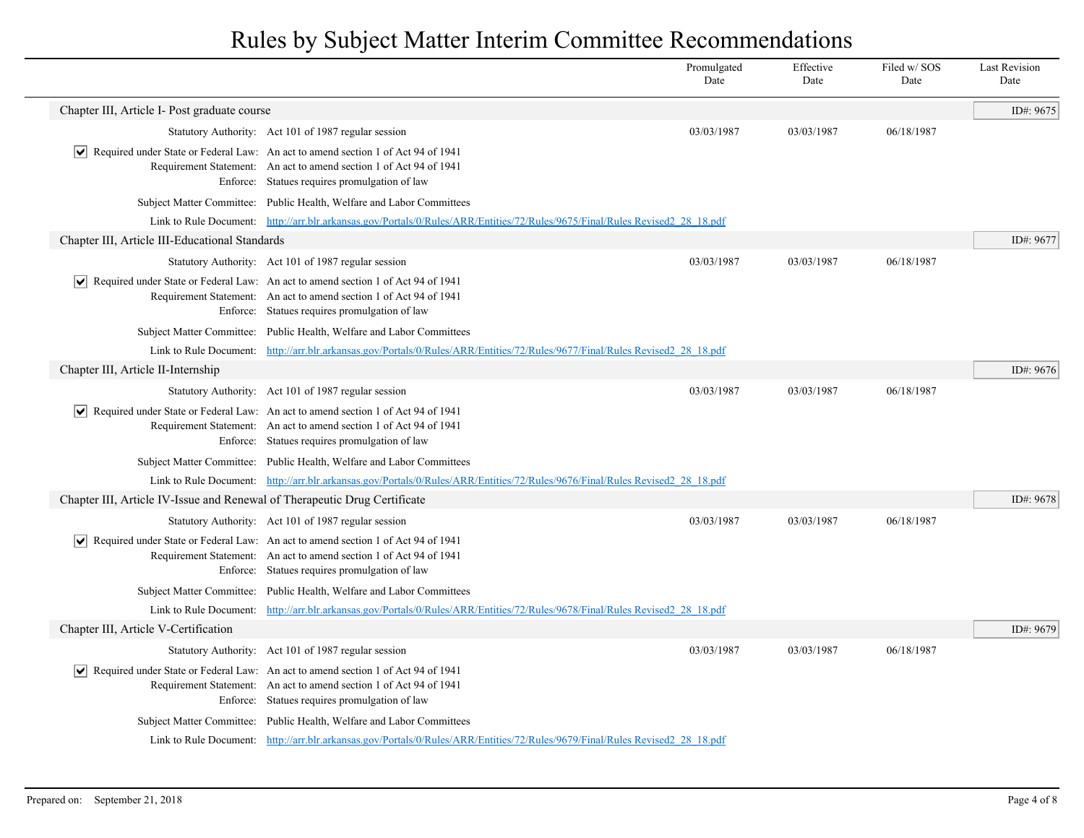|                                                                           |                                                                                                                                                                                                                               | Promulgated<br>Date | Effective<br>Date | Filed w/SOS<br>Date | <b>Last Revision</b><br>Date |
|---------------------------------------------------------------------------|-------------------------------------------------------------------------------------------------------------------------------------------------------------------------------------------------------------------------------|---------------------|-------------------|---------------------|------------------------------|
| Chapter III, Article I- Post graduate course                              |                                                                                                                                                                                                                               |                     |                   |                     | ID#: 9675                    |
|                                                                           | Statutory Authority: Act 101 of 1987 regular session                                                                                                                                                                          | 03/03/1987          | 03/03/1987        | 06/18/1987          |                              |
| ∣V∣                                                                       | Required under State or Federal Law: An act to amend section 1 of Act 94 of 1941<br>Requirement Statement: An act to amend section 1 of Act 94 of 1941<br>Enforce: Statues requires promulgation of law                       |                     |                   |                     |                              |
|                                                                           | Subject Matter Committee: Public Health, Welfare and Labor Committees                                                                                                                                                         |                     |                   |                     |                              |
|                                                                           | Link to Rule Document: http://arr.blr.arkansas.gov/Portals/0/Rules/ARR/Entities/72/Rules/9675/Final/Rules Revised2 28 18.pdf                                                                                                  |                     |                   |                     |                              |
| Chapter III, Article III-Educational Standards                            |                                                                                                                                                                                                                               |                     |                   |                     | ID#: 9677                    |
|                                                                           | Statutory Authority: Act 101 of 1987 regular session                                                                                                                                                                          | 03/03/1987          | 03/03/1987        | 06/18/1987          |                              |
| $ \bm{\mathsf{v}} $                                                       | Required under State or Federal Law: An act to amend section 1 of Act 94 of 1941<br>Requirement Statement: An act to amend section 1 of Act 94 of 1941<br>Enforce: Statues requires promulgation of law                       |                     |                   |                     |                              |
|                                                                           | Subject Matter Committee: Public Health, Welfare and Labor Committees                                                                                                                                                         |                     |                   |                     |                              |
|                                                                           | Link to Rule Document: http://arr.blr.arkansas.gov/Portals/0/Rules/ARR/Entities/72/Rules/9677/Final/Rules Revised2 28 18.pdf                                                                                                  |                     |                   |                     |                              |
| Chapter III, Article II-Internship                                        |                                                                                                                                                                                                                               |                     |                   |                     | ID#: 9676                    |
|                                                                           | Statutory Authority: Act 101 of 1987 regular session                                                                                                                                                                          | 03/03/1987          | 03/03/1987        | 06/18/1987          |                              |
| $ \bm{\mathsf{v}} $                                                       | Required under State or Federal Law: An act to amend section 1 of Act 94 of 1941<br>Requirement Statement: An act to amend section 1 of Act 94 of 1941<br>Enforce: Statues requires promulgation of law                       |                     |                   |                     |                              |
|                                                                           | Subject Matter Committee: Public Health, Welfare and Labor Committees                                                                                                                                                         |                     |                   |                     |                              |
|                                                                           | Link to Rule Document: http://arr.blr.arkansas.gov/Portals/0/Rules/ARR/Entities/72/Rules/9676/Final/Rules Revised2 28 18.pdf                                                                                                  |                     |                   |                     |                              |
| Chapter III, Article IV-Issue and Renewal of Therapeutic Drug Certificate |                                                                                                                                                                                                                               |                     |                   |                     | ID#: 9678                    |
|                                                                           | Statutory Authority: Act 101 of 1987 regular session                                                                                                                                                                          | 03/03/1987          | 03/03/1987        | 06/18/1987          |                              |
|                                                                           | $\vert \bullet \vert$ Required under State or Federal Law: An act to amend section 1 of Act 94 of 1941<br>Requirement Statement: An act to amend section 1 of Act 94 of 1941<br>Enforce: Statues requires promulgation of law |                     |                   |                     |                              |
|                                                                           | Subject Matter Committee: Public Health, Welfare and Labor Committees                                                                                                                                                         |                     |                   |                     |                              |
|                                                                           | Link to Rule Document: http://arr.blr.arkansas.gov/Portals/0/Rules/ARR/Entities/72/Rules/9678/Final/Rules Revised2 28 18.pdf                                                                                                  |                     |                   |                     |                              |
| Chapter III, Article V-Certification                                      |                                                                                                                                                                                                                               |                     |                   |                     | ID#: 9679                    |
|                                                                           | Statutory Authority: Act 101 of 1987 regular session                                                                                                                                                                          | 03/03/1987          | 03/03/1987        | 06/18/1987          |                              |
|                                                                           | $ \mathbf{v} $ Required under State or Federal Law: An act to amend section 1 of Act 94 of 1941<br>Requirement Statement: An act to amend section 1 of Act 94 of 1941<br>Enforce: Statues requires promulgation of law        |                     |                   |                     |                              |
|                                                                           | Subject Matter Committee: Public Health, Welfare and Labor Committees                                                                                                                                                         |                     |                   |                     |                              |
|                                                                           | Link to Rule Document: http://arr.blr.arkansas.gov/Portals/0/Rules/ARR/Entities/72/Rules/9679/Final/Rules Revised2 28 18.pdf                                                                                                  |                     |                   |                     |                              |
|                                                                           |                                                                                                                                                                                                                               |                     |                   |                     |                              |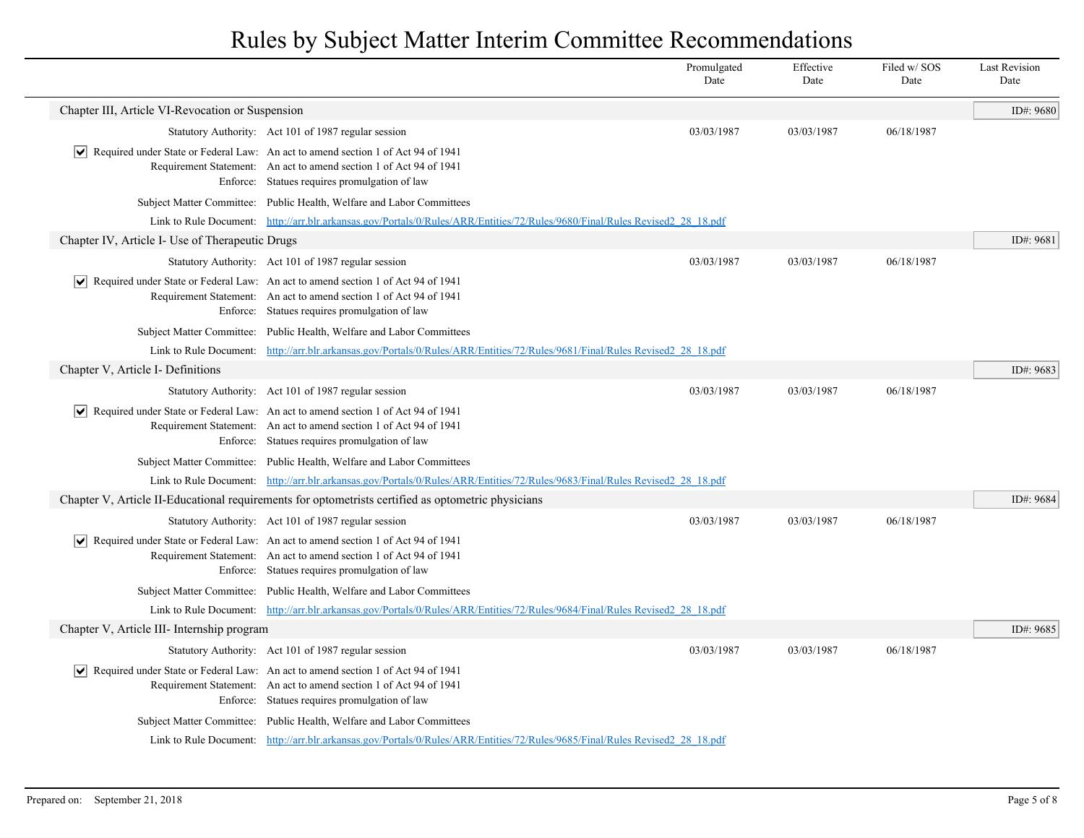|                                                  |                                                                                                                                                                                                                               | Promulgated<br>Date | Effective<br>Date | Filed w/SOS<br>Date | <b>Last Revision</b><br>Date |
|--------------------------------------------------|-------------------------------------------------------------------------------------------------------------------------------------------------------------------------------------------------------------------------------|---------------------|-------------------|---------------------|------------------------------|
| Chapter III, Article VI-Revocation or Suspension |                                                                                                                                                                                                                               |                     |                   |                     | ID#: 9680                    |
|                                                  | Statutory Authority: Act 101 of 1987 regular session                                                                                                                                                                          | 03/03/1987          | 03/03/1987        | 06/18/1987          |                              |
| M                                                | Required under State or Federal Law: An act to amend section 1 of Act 94 of 1941<br>Requirement Statement: An act to amend section 1 of Act 94 of 1941<br>Enforce: Statues requires promulgation of law                       |                     |                   |                     |                              |
|                                                  | Subject Matter Committee: Public Health, Welfare and Labor Committees                                                                                                                                                         |                     |                   |                     |                              |
|                                                  | Link to Rule Document: http://arr.blr.arkansas.gov/Portals/0/Rules/ARR/Entities/72/Rules/9680/Final/Rules Revised2 28 18.pdf                                                                                                  |                     |                   |                     |                              |
| Chapter IV, Article I- Use of Therapeutic Drugs  |                                                                                                                                                                                                                               |                     |                   |                     | ID#: 9681                    |
|                                                  | Statutory Authority: Act 101 of 1987 regular session                                                                                                                                                                          | 03/03/1987          | 03/03/1987        | 06/18/1987          |                              |
| ∣V∣                                              | Required under State or Federal Law: An act to amend section 1 of Act 94 of 1941<br>Requirement Statement: An act to amend section 1 of Act 94 of 1941<br>Enforce: Statues requires promulgation of law                       |                     |                   |                     |                              |
|                                                  | Subject Matter Committee: Public Health, Welfare and Labor Committees                                                                                                                                                         |                     |                   |                     |                              |
|                                                  | Link to Rule Document: http://arr.blr.arkansas.gov/Portals/0/Rules/ARR/Entities/72/Rules/9681/Final/Rules Revised2 28 18.pdf                                                                                                  |                     |                   |                     |                              |
| Chapter V, Article I- Definitions                |                                                                                                                                                                                                                               |                     |                   |                     | ID#: 9683                    |
|                                                  | Statutory Authority: Act 101 of 1987 regular session                                                                                                                                                                          | 03/03/1987          | 03/03/1987        | 06/18/1987          |                              |
|                                                  | Required under State or Federal Law: An act to amend section 1 of Act 94 of 1941<br>Requirement Statement: An act to amend section 1 of Act 94 of 1941<br>Enforce: Statues requires promulgation of law                       |                     |                   |                     |                              |
|                                                  | Subject Matter Committee: Public Health, Welfare and Labor Committees                                                                                                                                                         |                     |                   |                     |                              |
|                                                  | Link to Rule Document: http://arr.blr.arkansas.gov/Portals/0/Rules/ARR/Entities/72/Rules/9683/Final/Rules Revised2 28 18.pdf                                                                                                  |                     |                   |                     |                              |
|                                                  | Chapter V, Article II-Educational requirements for optometrists certified as optometric physicians                                                                                                                            |                     |                   |                     | ID#: 9684                    |
|                                                  | Statutory Authority: Act 101 of 1987 regular session                                                                                                                                                                          | 03/03/1987          | 03/03/1987        | 06/18/1987          |                              |
|                                                  | $\vert \bullet \vert$ Required under State or Federal Law: An act to amend section 1 of Act 94 of 1941<br>Requirement Statement: An act to amend section 1 of Act 94 of 1941<br>Enforce: Statues requires promulgation of law |                     |                   |                     |                              |
|                                                  | Subject Matter Committee: Public Health, Welfare and Labor Committees                                                                                                                                                         |                     |                   |                     |                              |
|                                                  | Link to Rule Document: http://arr.blr.arkansas.gov/Portals/0/Rules/ARR/Entities/72/Rules/9684/Final/Rules Revised2 28 18.pdf                                                                                                  |                     |                   |                     |                              |
| Chapter V, Article III- Internship program       |                                                                                                                                                                                                                               |                     |                   |                     | ID#: 9685                    |
|                                                  | Statutory Authority: Act 101 of 1987 regular session                                                                                                                                                                          | 03/03/1987          | 03/03/1987        | 06/18/1987          |                              |
|                                                  | $ \mathbf{v} $ Required under State or Federal Law: An act to amend section 1 of Act 94 of 1941<br>Requirement Statement: An act to amend section 1 of Act 94 of 1941<br>Enforce: Statues requires promulgation of law        |                     |                   |                     |                              |
|                                                  | Subject Matter Committee: Public Health, Welfare and Labor Committees                                                                                                                                                         |                     |                   |                     |                              |
|                                                  | Link to Rule Document: http://arr.blr.arkansas.gov/Portals/0/Rules/ARR/Entities/72/Rules/9685/Final/Rules Revised2 28 18.pdf                                                                                                  |                     |                   |                     |                              |
|                                                  |                                                                                                                                                                                                                               |                     |                   |                     |                              |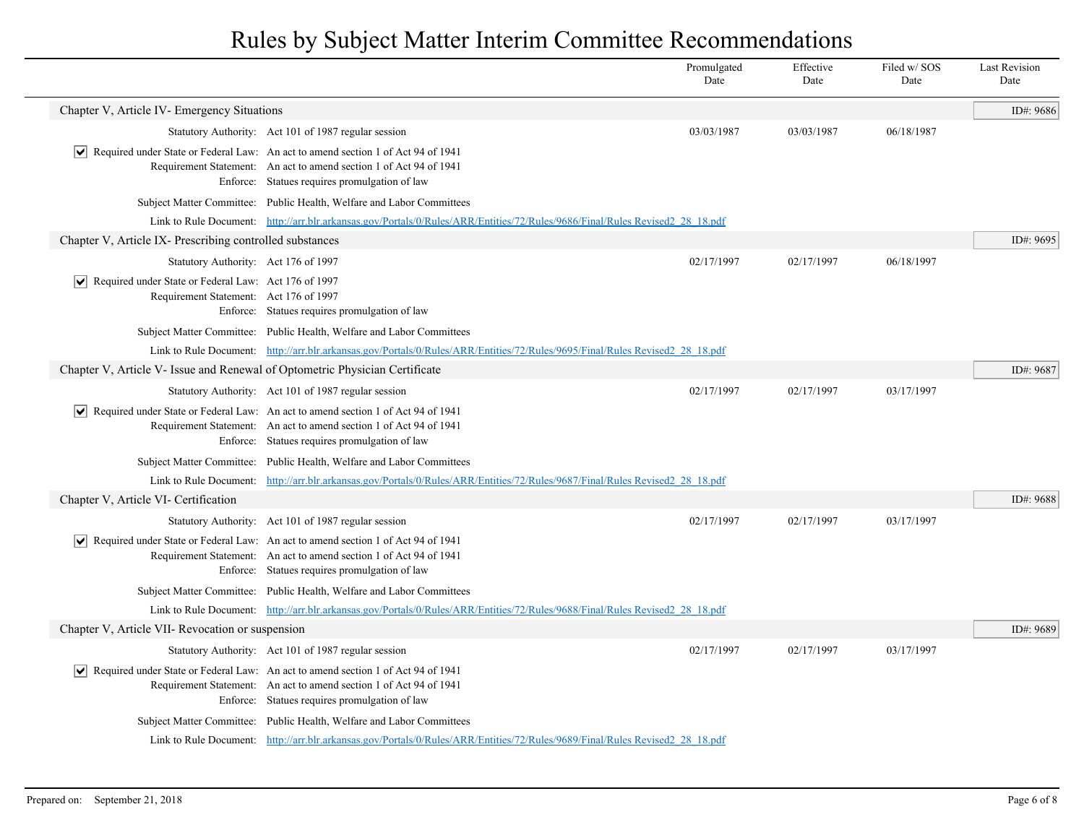|                                                                                                               |                                                                                                                                                                                                                               | Promulgated<br>Date | Effective<br>Date | Filed w/SOS<br>Date | <b>Last Revision</b><br>Date |
|---------------------------------------------------------------------------------------------------------------|-------------------------------------------------------------------------------------------------------------------------------------------------------------------------------------------------------------------------------|---------------------|-------------------|---------------------|------------------------------|
| Chapter V, Article IV- Emergency Situations                                                                   |                                                                                                                                                                                                                               |                     |                   |                     | ID#: 9686                    |
|                                                                                                               | Statutory Authority: Act 101 of 1987 regular session                                                                                                                                                                          | 03/03/1987          | 03/03/1987        | 06/18/1987          |                              |
|                                                                                                               | $\vert \bullet \vert$ Required under State or Federal Law: An act to amend section 1 of Act 94 of 1941<br>Requirement Statement: An act to amend section 1 of Act 94 of 1941<br>Enforce: Statues requires promulgation of law |                     |                   |                     |                              |
|                                                                                                               | Subject Matter Committee: Public Health, Welfare and Labor Committees                                                                                                                                                         |                     |                   |                     |                              |
|                                                                                                               | Link to Rule Document: http://arr.blr.arkansas.gov/Portals/0/Rules/ARR/Entities/72/Rules/9686/Final/Rules Revised2 28 18.pdf                                                                                                  |                     |                   |                     |                              |
| Chapter V, Article IX- Prescribing controlled substances                                                      |                                                                                                                                                                                                                               |                     |                   |                     | ID#: 9695                    |
| Statutory Authority: Act 176 of 1997                                                                          |                                                                                                                                                                                                                               | 02/17/1997          | 02/17/1997        | 06/18/1997          |                              |
| $ \mathbf{v} $ Required under State or Federal Law: Act 176 of 1997<br>Requirement Statement: Act 176 of 1997 | Enforce: Statues requires promulgation of law                                                                                                                                                                                 |                     |                   |                     |                              |
|                                                                                                               | Subject Matter Committee: Public Health, Welfare and Labor Committees                                                                                                                                                         |                     |                   |                     |                              |
|                                                                                                               | Link to Rule Document: http://arr.blr.arkansas.gov/Portals/0/Rules/ARR/Entities/72/Rules/9695/Final/Rules Revised2 28 18.pdf                                                                                                  |                     |                   |                     |                              |
| Chapter V, Article V- Issue and Renewal of Optometric Physician Certificate                                   |                                                                                                                                                                                                                               |                     |                   |                     | ID#: 9687                    |
|                                                                                                               | Statutory Authority: Act 101 of 1987 regular session                                                                                                                                                                          | 02/17/1997          | 02/17/1997        | 03/17/1997          |                              |
|                                                                                                               | $ \mathbf{v} $ Required under State or Federal Law: An act to amend section 1 of Act 94 of 1941<br>Requirement Statement: An act to amend section 1 of Act 94 of 1941<br>Enforce: Statues requires promulgation of law        |                     |                   |                     |                              |
|                                                                                                               | Subject Matter Committee: Public Health, Welfare and Labor Committees                                                                                                                                                         |                     |                   |                     |                              |
|                                                                                                               | Link to Rule Document: http://arr.blr.arkansas.gov/Portals/0/Rules/ARR/Entities/72/Rules/9687/Final/Rules Revised2 28 18.pdf                                                                                                  |                     |                   |                     |                              |
| Chapter V, Article VI- Certification                                                                          |                                                                                                                                                                                                                               |                     |                   |                     | ID#: 9688                    |
|                                                                                                               | Statutory Authority: Act 101 of 1987 regular session                                                                                                                                                                          | 02/17/1997          | 02/17/1997        | 03/17/1997          |                              |
|                                                                                                               | $\sqrt{\phantom{a}}$ Required under State or Federal Law: An act to amend section 1 of Act 94 of 1941<br>Requirement Statement: An act to amend section 1 of Act 94 of 1941<br>Enforce: Statues requires promulgation of law  |                     |                   |                     |                              |
|                                                                                                               | Subject Matter Committee: Public Health, Welfare and Labor Committees                                                                                                                                                         |                     |                   |                     |                              |
|                                                                                                               | Link to Rule Document: http://arr.blr.arkansas.gov/Portals/0/Rules/ARR/Entities/72/Rules/9688/Final/Rules Revised2 28 18.pdf                                                                                                  |                     |                   |                     |                              |
| Chapter V, Article VII- Revocation or suspension                                                              |                                                                                                                                                                                                                               |                     |                   |                     | ID#: 9689                    |
|                                                                                                               | Statutory Authority: Act 101 of 1987 regular session                                                                                                                                                                          | 02/17/1997          | 02/17/1997        | 03/17/1997          |                              |
|                                                                                                               | Required under State or Federal Law: An act to amend section 1 of Act 94 of 1941<br>Requirement Statement: An act to amend section 1 of Act 94 of 1941<br>Enforce: Statues requires promulgation of law                       |                     |                   |                     |                              |
|                                                                                                               | Subject Matter Committee: Public Health, Welfare and Labor Committees                                                                                                                                                         |                     |                   |                     |                              |
|                                                                                                               | Link to Rule Document: http://arr.blr.arkansas.gov/Portals/0/Rules/ARR/Entities/72/Rules/9689/Final/Rules Revised2 28 18.pdf                                                                                                  |                     |                   |                     |                              |
|                                                                                                               |                                                                                                                                                                                                                               |                     |                   |                     |                              |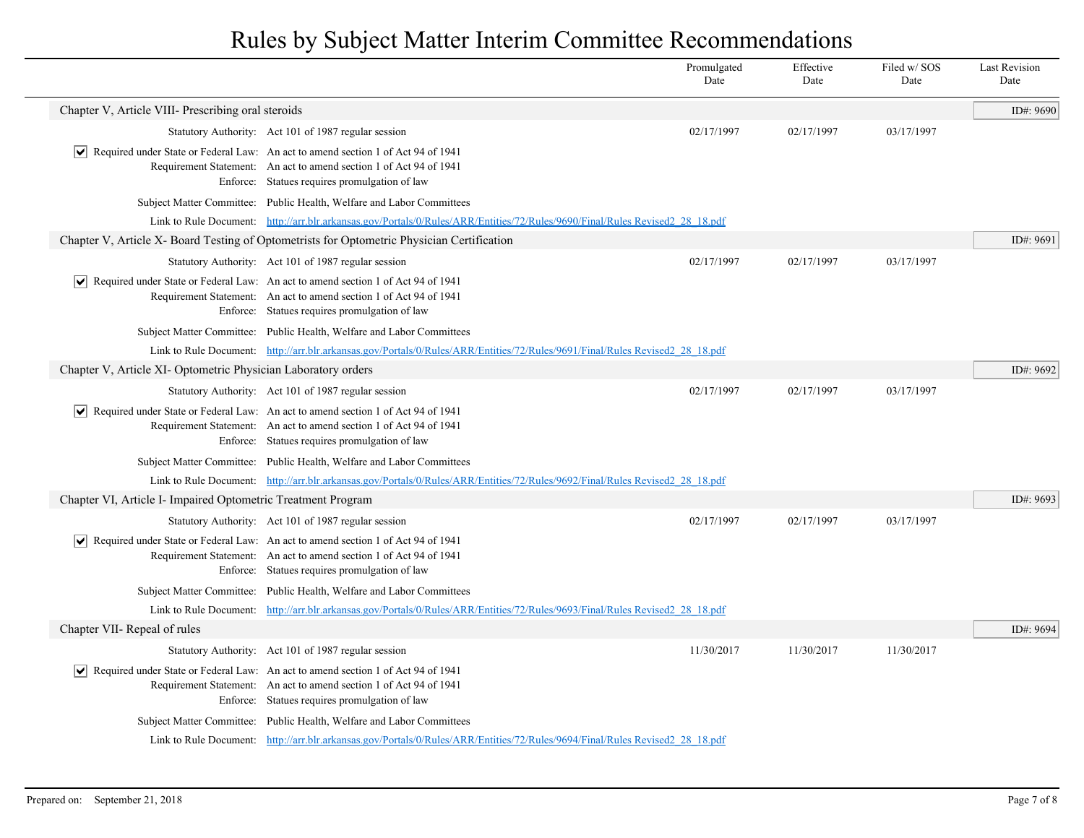|                                                               |                                                                                                                                                                                                                               | Promulgated<br>Date | Effective<br>Date | Filed w/SOS<br>Date | <b>Last Revision</b><br>Date |
|---------------------------------------------------------------|-------------------------------------------------------------------------------------------------------------------------------------------------------------------------------------------------------------------------------|---------------------|-------------------|---------------------|------------------------------|
| Chapter V, Article VIII- Prescribing oral steroids            |                                                                                                                                                                                                                               |                     |                   |                     | ID#: 9690                    |
|                                                               | Statutory Authority: Act 101 of 1987 regular session                                                                                                                                                                          | 02/17/1997          | 02/17/1997        | 03/17/1997          |                              |
|                                                               | Required under State or Federal Law: An act to amend section 1 of Act 94 of 1941<br>Requirement Statement: An act to amend section 1 of Act 94 of 1941<br>Enforce: Statues requires promulgation of law                       |                     |                   |                     |                              |
|                                                               | Subject Matter Committee: Public Health, Welfare and Labor Committees                                                                                                                                                         |                     |                   |                     |                              |
|                                                               | Link to Rule Document: http://arr.blr.arkansas.gov/Portals/0/Rules/ARR/Entities/72/Rules/9690/Final/Rules Revised2 28 18.pdf                                                                                                  |                     |                   |                     |                              |
|                                                               | Chapter V, Article X- Board Testing of Optometrists for Optometric Physician Certification                                                                                                                                    |                     |                   |                     | ID#: 9691                    |
|                                                               | Statutory Authority: Act 101 of 1987 regular session                                                                                                                                                                          | 02/17/1997          | 02/17/1997        | 03/17/1997          |                              |
|                                                               | $ \mathbf{v} $ Required under State or Federal Law: An act to amend section 1 of Act 94 of 1941<br>Requirement Statement: An act to amend section 1 of Act 94 of 1941<br>Enforce: Statues requires promulgation of law        |                     |                   |                     |                              |
|                                                               | Subject Matter Committee: Public Health, Welfare and Labor Committees                                                                                                                                                         |                     |                   |                     |                              |
|                                                               | Link to Rule Document: http://arr.blr.arkansas.gov/Portals/0/Rules/ARR/Entities/72/Rules/9691/Final/Rules Revised2 28 18.pdf                                                                                                  |                     |                   |                     |                              |
| Chapter V, Article XI- Optometric Physician Laboratory orders |                                                                                                                                                                                                                               |                     |                   |                     | ID#: 9692                    |
|                                                               | Statutory Authority: Act 101 of 1987 regular session                                                                                                                                                                          | 02/17/1997          | 02/17/1997        | 03/17/1997          |                              |
|                                                               | $ \mathbf{v} $ Required under State or Federal Law: An act to amend section 1 of Act 94 of 1941<br>Requirement Statement: An act to amend section 1 of Act 94 of 1941<br>Enforce: Statues requires promulgation of law        |                     |                   |                     |                              |
|                                                               | Subject Matter Committee: Public Health, Welfare and Labor Committees                                                                                                                                                         |                     |                   |                     |                              |
|                                                               | Link to Rule Document: http://arr.blr.arkansas.gov/Portals/0/Rules/ARR/Entities/72/Rules/9692/Final/Rules Revised2 28 18.pdf                                                                                                  |                     |                   |                     |                              |
| Chapter VI, Article I- Impaired Optometric Treatment Program  |                                                                                                                                                                                                                               |                     |                   |                     | ID#: 9693                    |
|                                                               | Statutory Authority: Act 101 of 1987 regular session                                                                                                                                                                          | 02/17/1997          | 02/17/1997        | 03/17/1997          |                              |
|                                                               | $ \mathbf{v} $ Required under State or Federal Law: An act to amend section 1 of Act 94 of 1941<br>Requirement Statement: An act to amend section 1 of Act 94 of 1941<br>Enforce: Statues requires promulgation of law        |                     |                   |                     |                              |
|                                                               | Subject Matter Committee: Public Health, Welfare and Labor Committees                                                                                                                                                         |                     |                   |                     |                              |
|                                                               | Link to Rule Document: http://arr.blr.arkansas.gov/Portals/0/Rules/ARR/Entities/72/Rules/9693/Final/Rules Revised2 28 18.pdf                                                                                                  |                     |                   |                     |                              |
| Chapter VII- Repeal of rules                                  |                                                                                                                                                                                                                               |                     |                   |                     | ID#: 9694                    |
|                                                               | Statutory Authority: Act 101 of 1987 regular session                                                                                                                                                                          | 11/30/2017          | 11/30/2017        | 11/30/2017          |                              |
|                                                               | $\vert \bullet \vert$ Required under State or Federal Law: An act to amend section 1 of Act 94 of 1941<br>Requirement Statement: An act to amend section 1 of Act 94 of 1941<br>Enforce: Statues requires promulgation of law |                     |                   |                     |                              |
|                                                               | Subject Matter Committee: Public Health, Welfare and Labor Committees                                                                                                                                                         |                     |                   |                     |                              |
|                                                               | Link to Rule Document: http://arr.blr.arkansas.gov/Portals/0/Rules/ARR/Entities/72/Rules/9694/Final/Rules Revised2 28 18.pdf                                                                                                  |                     |                   |                     |                              |
|                                                               |                                                                                                                                                                                                                               |                     |                   |                     |                              |